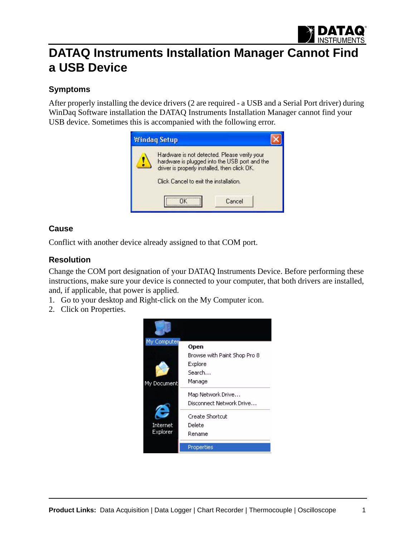

# **DATAQ Instruments Installation Manager Cannot Find a USB Device**

## **Symptoms**

After properly installing the device drivers (2 are required - a USB and a Serial Port driver) during WinDaq Software installation the DATAQ Instruments Installation Manager cannot find your USB device. Sometimes this is accompanied with the following error.



### **Cause**

Conflict with another device already assigned to that COM port.

### **Resolution**

Change the COM port designation of your DATAQ Instruments Device. Before performing these instructions, make sure your device is connected to your computer, that both drivers are installed, and, if applicable, that power is applied.

- 1. Go to your desktop and Right-click on the My Computer icon.
- 2. Click on Properties.

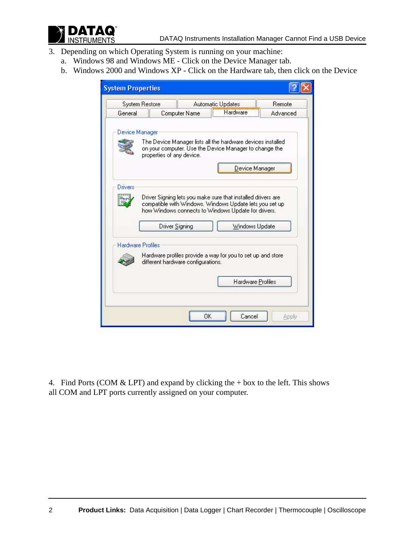

- 3. Depending on which Operating System is running on your machine:
	- a. Windows 98 and Windows ME Click on the Device Manager tab.
	- b. Windows 2000 and Windows XP Click on the Hardware tab, then click on the Device

|                          | <b>System Restore</b>     |                                    | Automatic Updates                                                                                                                                                                                | Remote   |
|--------------------------|---------------------------|------------------------------------|--------------------------------------------------------------------------------------------------------------------------------------------------------------------------------------------------|----------|
| General                  |                           | Hardware<br>Computer Name          |                                                                                                                                                                                                  | Advanced |
| Device Manager           | properties of any device. |                                    | The Device Manager lists all the hardware devices installed<br>on your computer. Use the Device Manager to change the<br>Device Manager                                                          |          |
| Drivers                  |                           | Driver Signing                     | Driver Signing lets you make sure that installed drivers are<br>compatible with Windows. Windows Update lets you set up<br>how Windows connects to Windows Update for drivers.<br>Windows Update |          |
| <b>Hardware Profiles</b> |                           |                                    |                                                                                                                                                                                                  |          |
|                          |                           | different hardware configurations. | Hardware profiles provide a way for you to set up and store                                                                                                                                      |          |
|                          |                           |                                    | Hardware Profiles                                                                                                                                                                                |          |

4. Find Ports (COM  $&$  LPT) and expand by clicking the + box to the left. This shows all COM and LPT ports currently assigned on your computer.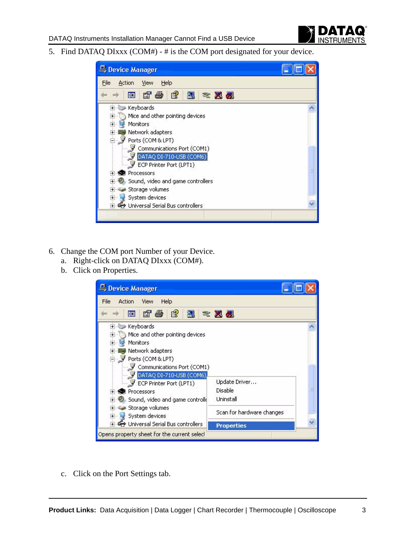

5. Find DATAQ DIxxx (COM#) - # is the COM port designated for your device.

| Device Manager                                                                                                                                                                                                                                                                                                                                                       |  |
|----------------------------------------------------------------------------------------------------------------------------------------------------------------------------------------------------------------------------------------------------------------------------------------------------------------------------------------------------------------------|--|
| Help<br>File<br>Action<br>View                                                                                                                                                                                                                                                                                                                                       |  |
| $\mathbb{B}$<br>n'a<br>図<br>盯<br>※ 风风                                                                                                                                                                                                                                                                                                                                |  |
| Keyboards<br>$+$<br>Mice and other pointing devices<br>$+$<br><b>Monitors</b><br>$+$<br>Network adapters<br>$+$<br>Ports (COM & LPT)<br>- 9<br>Communications Port (COM1)<br>DATAQ DI-710-USB (COM6)<br>ECP Printer Port (LPT1)<br>Processors<br>Sound, video and game controllers<br>Storage volumes<br>System devices<br>$+$<br>€ Universal Serial Bus controllers |  |
|                                                                                                                                                                                                                                                                                                                                                                      |  |

- 6. Change the COM port Number of your Device.
	- a. Right-click on DATAQ DIxxx (COM#).
	- b. Click on Properties.

| Device Manager                                                                                                                                                                                                                                                                                                                                                                                           |                                                                                         |
|----------------------------------------------------------------------------------------------------------------------------------------------------------------------------------------------------------------------------------------------------------------------------------------------------------------------------------------------------------------------------------------------------------|-----------------------------------------------------------------------------------------|
| Help<br>File<br>Action<br><b>View</b>                                                                                                                                                                                                                                                                                                                                                                    |                                                                                         |
| n'é<br>€<br>吅<br>A.                                                                                                                                                                                                                                                                                                                                                                                      | 東風                                                                                      |
| 王 Keyboards<br>Mice and other pointing devices<br>$+$<br><b>Monitors</b><br>$\overline{+}$<br><b>图 Network adapters</b><br>$\overline{+}$<br>Ports (COM & LPT)<br>Communications Port (COM1)<br>- 9<br>DATAQ DI-710-USB (COM6)<br>ECP Printer Port (LPT1)<br>Processors<br>Sound, video and game controll(<br>Storage volumes<br>System devices<br>$+$<br>मे <b>∙⊖≫</b> Universal Serial Bus controllers | Update Driver<br>Disable<br>Uninstall<br>Scan for hardware changes<br><b>Properties</b> |
| Opens property sheet for the current selecl                                                                                                                                                                                                                                                                                                                                                              |                                                                                         |

c. Click on the Port Settings tab.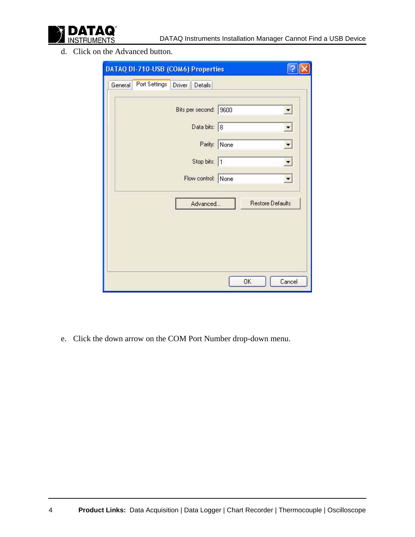

d. Click on the Advanced button.

| DATAQ DI-710-USB (COM6) Properties                    |                                                    |
|-------------------------------------------------------|----------------------------------------------------|
| Port Settings<br>Driver<br>General<br>Details         |                                                    |
| Bits per second: 9600<br>Data bits: 8<br>Stop bits: 1 | ▼<br>회<br>Parity: None<br>▼<br>$\vert \cdot \vert$ |
| Flow control: None                                    | $\overline{\phantom{a}}$                           |
| Advanced                                              | <b>Restore Defaults</b>                            |
|                                                       | OK<br>Cancel                                       |

e. Click the down arrow on the COM Port Number drop-down menu.